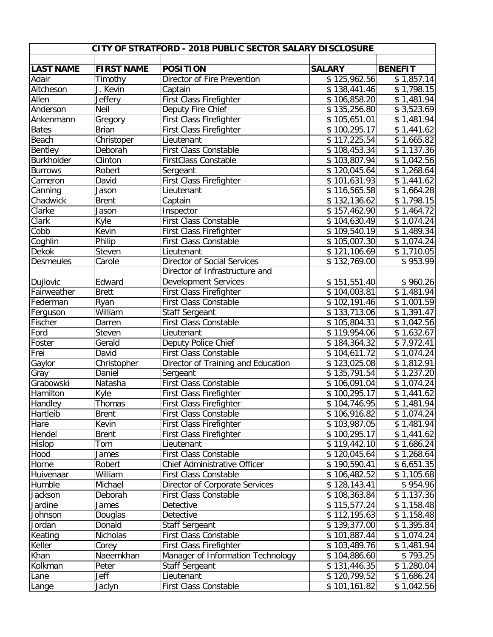| CITY OF STRATFORD - 2018 PUBLIC SECTOR SALARY DISCLOSURE |                   |                                                      |                          |                          |  |  |  |
|----------------------------------------------------------|-------------------|------------------------------------------------------|--------------------------|--------------------------|--|--|--|
|                                                          |                   |                                                      |                          |                          |  |  |  |
| <b>LAST NAME</b>                                         | <b>FIRST NAME</b> | <b>POSITION</b>                                      | <b>SALARY</b>            | <b>BENEFIT</b>           |  |  |  |
| Adair                                                    | Timothy           | Director of Fire Prevention                          | \$125,962.56             | $\overline{\$}$ 1,857.14 |  |  |  |
| Aitcheson                                                | J. Kevin          | Captain                                              | \$138,441.46             | \$1,798.15               |  |  |  |
| Allen                                                    | <b>Jeffery</b>    | First Class Firefighter                              | \$106,858.20             | \$1,481.94               |  |  |  |
| Anderson                                                 | Neil              | Deputy Fire Chief                                    | \$135,256.80             | \$3,523.69               |  |  |  |
| Ankenmann                                                | Gregory           | First Class Firefighter                              | \$105,651.01             | \$1,481.94               |  |  |  |
| <b>Bates</b>                                             | <b>Brian</b>      | First Class Firefighter                              | \$100,295.17             | \$1,441.62               |  |  |  |
| Beach                                                    | Christoper        | Lieutenant                                           | \$117,225.54             | \$1,665.82               |  |  |  |
| Bentley                                                  | Deborah           | First Class Constable<br><b>FirstClass Constable</b> | \$108,453.34             | \$1,137.36               |  |  |  |
| <b>Burkholder</b>                                        | Clinton           |                                                      | $\overline{$}103,807.94$ | \$1,042.56               |  |  |  |
| <b>Burrows</b>                                           | Robert            | Sergeant                                             | \$120,045.64             | \$1,268.64               |  |  |  |
| Cameron                                                  | David             | First Class Firefighter                              | \$101,631.93             | \$1,441.62               |  |  |  |
| Canning                                                  | Jason             | Lieutenant                                           | $\overline{$}116,565.58$ | \$1,664.28               |  |  |  |
| Chadwick                                                 | <b>Brent</b>      | Captain                                              | \$132,136.62             | \$1,798.15               |  |  |  |
| Clarke                                                   | Jason             | Inspector                                            | \$157,462.90             | \$1,464.72               |  |  |  |
| Clark                                                    | Kyle              | First Class Constable                                | \$104,630.49             | \$1,074.24               |  |  |  |
| Cobb                                                     | Kevin             | First Class Firefighter                              | \$109,540.19             | \$1,489.34               |  |  |  |
| Coghlin                                                  | Philip            | First Class Constable                                | \$105,007.30             | \$1,074.24               |  |  |  |
| <b>Dekok</b>                                             | Steven            | Lieutenant                                           | \$121,106.69             | \$1,710.05               |  |  |  |
| <b>Desmeules</b>                                         | Carole            | Director of Social Services                          | \$132,769.00             | \$953.99                 |  |  |  |
|                                                          |                   | Director of Infrastructure and                       |                          |                          |  |  |  |
| Dujlovic                                                 | Edward            | <b>Development Services</b>                          | \$151,551.40             | \$960.26                 |  |  |  |
| Fairweather                                              | <b>Brett</b>      | First Class Firefighter                              | $\overline{$}104,003.81$ | $\overline{$}1,481.94$   |  |  |  |
| Federman                                                 | Ryan              | First Class Constable                                | \$102,191.46             | \$1,001.59               |  |  |  |
| Ferguson                                                 | William           | <b>Staff Sergeant</b>                                | \$133,713.06             | $\overline{$}1,391.47$   |  |  |  |
| Fischer                                                  | Darren            | <b>First Class Constable</b>                         | \$105,804.31             | \$1,042.56               |  |  |  |
| Ford                                                     | Steven            | Lieutenant                                           | \$119,954.06             | \$1,632.67               |  |  |  |
| Foster                                                   | Gerald            | Deputy Police Chief                                  | \$184,364.32             | \$7,972.41               |  |  |  |
| Frei                                                     | David             | First Class Constable                                | \$104,611.72             | \$1,074.24               |  |  |  |
| Gaylor                                                   | Christopher       | Director of Training and Education                   | \$123,025.08             | \$1,812.91               |  |  |  |
| Gray                                                     | Daniel            | Sergeant                                             | \$135,791.54             | \$1,237.20               |  |  |  |
| Grabowski                                                | Natasha           | <b>First Class Constable</b>                         | \$106,091.04             | \$1,074.24               |  |  |  |
| Hamilton                                                 | Kyle              | First Class Firefighter                              | \$100,295.17             | \$1,441.62               |  |  |  |
| <b>Handley</b>                                           | Thomas            | First Class Firefighter                              | \$104,746.95             | $\overline{$1,481.94}$   |  |  |  |
| Hartleib                                                 | <b>Brent</b>      | First Class Constable                                | \$106,916.82             | \$1,074.24               |  |  |  |
| Hare                                                     | Kevin             | First Class Firefighter                              | \$103,987.05             | \$1,481.94               |  |  |  |
| Hendel                                                   | <b>Brent</b>      | First Class Firefighter                              | \$100,295.17             | \$1,441.62               |  |  |  |
| Hislop                                                   | Tom               | Lieutenant                                           | \$119,442.10             | \$1,686.24               |  |  |  |
| Hood                                                     | James             | First Class Constable                                | \$120,045.64             | \$1,268.64               |  |  |  |
| Horne                                                    | Robert            | Chief Administrative Officer                         | \$190,590.41             | \$6,651.35               |  |  |  |
| Huivenaar                                                | William           | <b>First Class Constable</b>                         | \$106,482.52             | \$1,105.68               |  |  |  |
| Humble                                                   | Michael           | Director of Corporate Services                       | \$128,143.41             | \$954.96                 |  |  |  |
| Jackson                                                  | Deborah           | First Class Constable                                | \$108,363.84             | \$1,137.36               |  |  |  |
| Jardine                                                  | James             | Detective                                            | \$115,577.24             | \$1,158.48               |  |  |  |
| Johnson                                                  | Douglas           | Detective                                            | \$112,195.63             | \$1,158.48               |  |  |  |
| Jordan                                                   | Donald            | <b>Staff Sergeant</b>                                | \$139,377.00             | \$1,395.84               |  |  |  |
| Keating                                                  | Nicholas          | First Class Constable                                | \$101,887.44             | \$1,074.24               |  |  |  |
| Keller                                                   | Corey             | First Class Firefighter                              | \$103,489.76             | \$1,481.94               |  |  |  |
| Khan                                                     | Naeemkhan         | Manager of Information Technology                    | \$104,886.60             | \$793.25                 |  |  |  |
| Kolkman                                                  | Peter             | Staff Sergeant                                       | \$131,446.35             | \$1,280.04               |  |  |  |
| Lane                                                     | Jeff              | Lieutenant                                           | \$120,799.52             | \$1,686.24               |  |  |  |
| Lange                                                    | Jaclyn            | First Class Constable                                | \$101,161.82             | \$1,042.56               |  |  |  |